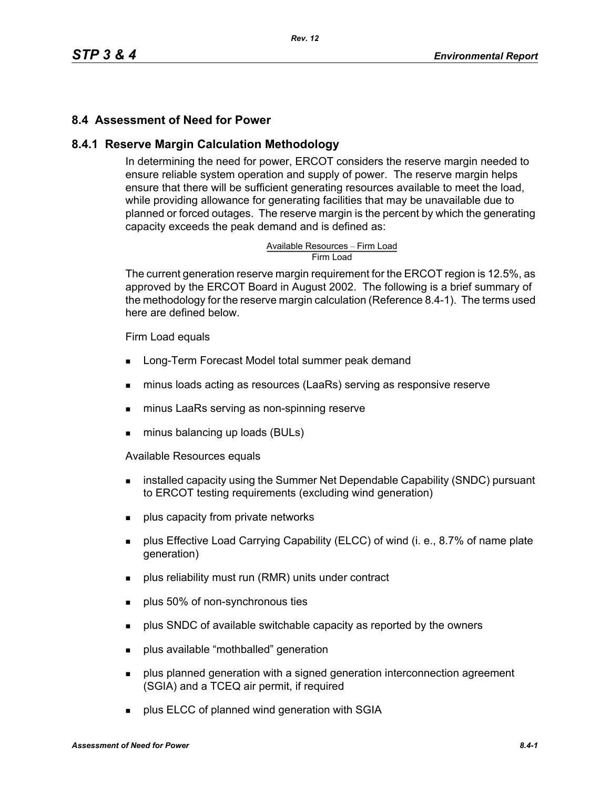#### **8.4 Assessment of Need for Power**

#### **8.4.1 Reserve Margin Calculation Methodology**

In determining the need for power, ERCOT considers the reserve margin needed to ensure reliable system operation and supply of power. The reserve margin helps ensure that there will be sufficient generating resources available to meet the load, while providing allowance for generating facilities that may be unavailable due to planned or forced outages. The reserve margin is the percent by which the generating capacity exceeds the peak demand and is defined as:

# Available Resources – Firm Load<br>Firm Load

The current generation reserve margin requirement for the ERCOT region is 12.5%, as approved by the ERCOT Board in August 2002. The following is a brief summary of the methodology for the reserve margin calculation (Reference 8.4-1). The terms used here are defined below.

#### Firm Load equals

- **Long-Term Forecast Model total summer peak demand**
- minus loads acting as resources (LaaRs) serving as responsive reserve
- minus LaaRs serving as non-spinning reserve
- minus balancing up loads (BULs)

Available Resources equals

- **EXECT** installed capacity using the Summer Net Dependable Capability (SNDC) pursuant to ERCOT testing requirements (excluding wind generation)
- **plus capacity from private networks**
- plus Effective Load Carrying Capability (ELCC) of wind (i. e., 8.7% of name plate generation)
- plus reliability must run (RMR) units under contract
- **plus 50% of non-synchronous ties**
- **Propelled SNDC** of available switchable capacity as reported by the owners
- **plus available "mothballed" generation**
- **Proplus planned generation with a signed generation interconnection agreement** (SGIA) and a TCEQ air permit, if required
- **plus ELCC of planned wind generation with SGIA**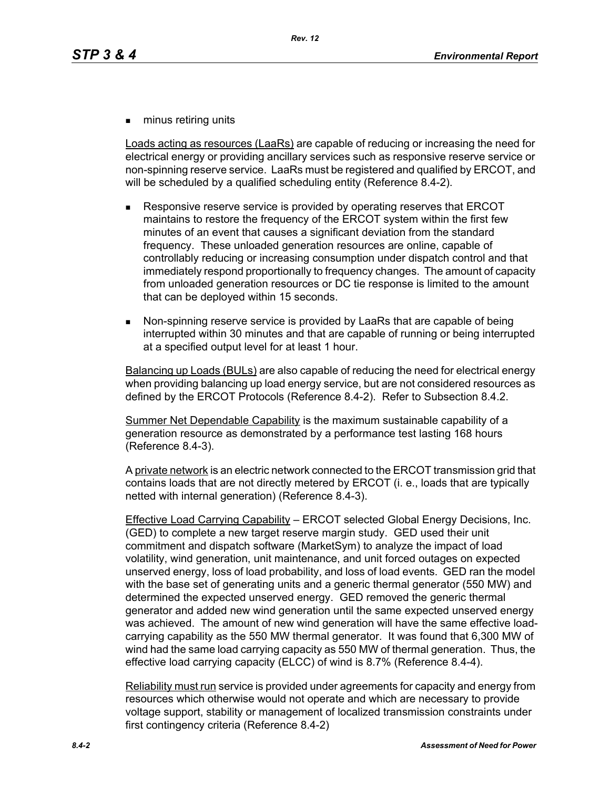**numinus retiring units** 

Loads acting as resources (LaaRs) are capable of reducing or increasing the need for electrical energy or providing ancillary services such as responsive reserve service or non-spinning reserve service. LaaRs must be registered and qualified by ERCOT, and will be scheduled by a qualified scheduling entity (Reference 8.4-2).

- Responsive reserve service is provided by operating reserves that ERCOT maintains to restore the frequency of the ERCOT system within the first few minutes of an event that causes a significant deviation from the standard frequency. These unloaded generation resources are online, capable of controllably reducing or increasing consumption under dispatch control and that immediately respond proportionally to frequency changes. The amount of capacity from unloaded generation resources or DC tie response is limited to the amount that can be deployed within 15 seconds.
- Non-spinning reserve service is provided by LaaRs that are capable of being interrupted within 30 minutes and that are capable of running or being interrupted at a specified output level for at least 1 hour.

Balancing up Loads (BULs) are also capable of reducing the need for electrical energy when providing balancing up load energy service, but are not considered resources as defined by the ERCOT Protocols (Reference 8.4-2). Refer to Subsection 8.4.2.

Summer Net Dependable Capability is the maximum sustainable capability of a generation resource as demonstrated by a performance test lasting 168 hours (Reference 8.4-3).

A private network is an electric network connected to the ERCOT transmission grid that contains loads that are not directly metered by ERCOT (i. e., loads that are typically netted with internal generation) (Reference 8.4-3).

Effective Load Carrying Capability – ERCOT selected Global Energy Decisions, Inc. (GED) to complete a new target reserve margin study. GED used their unit commitment and dispatch software (MarketSym) to analyze the impact of load volatility, wind generation, unit maintenance, and unit forced outages on expected unserved energy, loss of load probability, and loss of load events. GED ran the model with the base set of generating units and a generic thermal generator (550 MW) and determined the expected unserved energy. GED removed the generic thermal generator and added new wind generation until the same expected unserved energy was achieved. The amount of new wind generation will have the same effective loadcarrying capability as the 550 MW thermal generator. It was found that 6,300 MW of wind had the same load carrying capacity as 550 MW of thermal generation. Thus, the effective load carrying capacity (ELCC) of wind is 8.7% (Reference 8.4-4).

Reliability must run service is provided under agreements for capacity and energy from resources which otherwise would not operate and which are necessary to provide voltage support, stability or management of localized transmission constraints under first contingency criteria (Reference 8.4-2)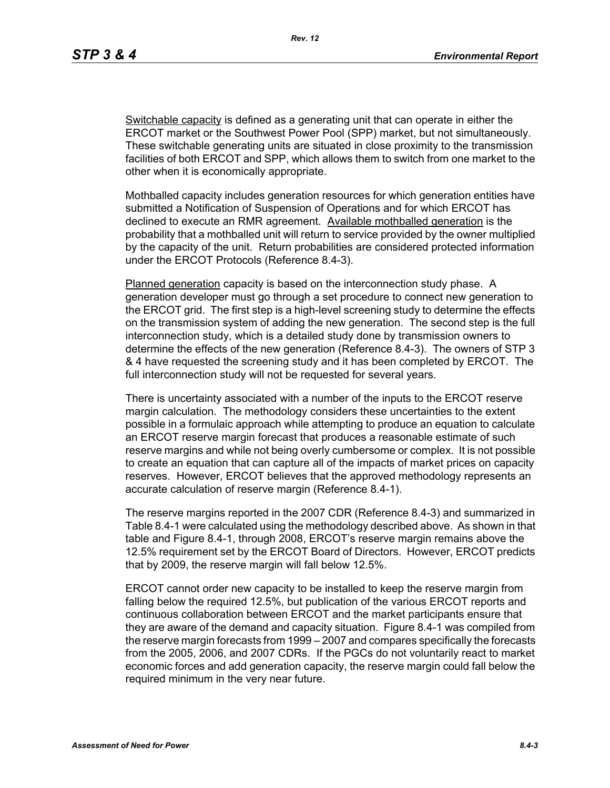Switchable capacity is defined as a generating unit that can operate in either the ERCOT market or the Southwest Power Pool (SPP) market, but not simultaneously. These switchable generating units are situated in close proximity to the transmission facilities of both ERCOT and SPP, which allows them to switch from one market to the other when it is economically appropriate.

Mothballed capacity includes generation resources for which generation entities have submitted a Notification of Suspension of Operations and for which ERCOT has declined to execute an RMR agreement. Available mothballed generation is the probability that a mothballed unit will return to service provided by the owner multiplied by the capacity of the unit. Return probabilities are considered protected information under the ERCOT Protocols (Reference 8.4-3).

Planned generation capacity is based on the interconnection study phase. A generation developer must go through a set procedure to connect new generation to the ERCOT grid. The first step is a high-level screening study to determine the effects on the transmission system of adding the new generation. The second step is the full interconnection study, which is a detailed study done by transmission owners to determine the effects of the new generation (Reference 8.4-3). The owners of STP 3 & 4 have requested the screening study and it has been completed by ERCOT. The full interconnection study will not be requested for several years.

There is uncertainty associated with a number of the inputs to the ERCOT reserve margin calculation. The methodology considers these uncertainties to the extent possible in a formulaic approach while attempting to produce an equation to calculate an ERCOT reserve margin forecast that produces a reasonable estimate of such reserve margins and while not being overly cumbersome or complex. It is not possible to create an equation that can capture all of the impacts of market prices on capacity reserves. However, ERCOT believes that the approved methodology represents an accurate calculation of reserve margin (Reference 8.4-1).

The reserve margins reported in the 2007 CDR (Reference 8.4-3) and summarized in Table 8.4-1 were calculated using the methodology described above. As shown in that table and Figure 8.4-1, through 2008, ERCOT's reserve margin remains above the 12.5% requirement set by the ERCOT Board of Directors. However, ERCOT predicts that by 2009, the reserve margin will fall below 12.5%.

ERCOT cannot order new capacity to be installed to keep the reserve margin from falling below the required 12.5%, but publication of the various ERCOT reports and continuous collaboration between ERCOT and the market participants ensure that they are aware of the demand and capacity situation. Figure 8.4-1 was compiled from the reserve margin forecasts from 1999 – 2007 and compares specifically the forecasts from the 2005, 2006, and 2007 CDRs. If the PGCs do not voluntarily react to market economic forces and add generation capacity, the reserve margin could fall below the required minimum in the very near future.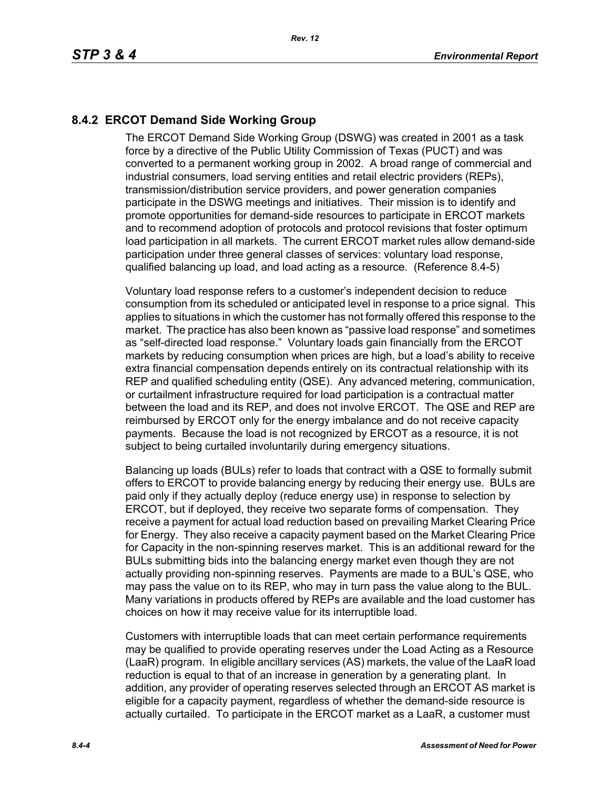## **8.4.2 ERCOT Demand Side Working Group**

The ERCOT Demand Side Working Group (DSWG) was created in 2001 as a task force by a directive of the Public Utility Commission of Texas (PUCT) and was converted to a permanent working group in 2002. A broad range of commercial and industrial consumers, load serving entities and retail electric providers (REPs), transmission/distribution service providers, and power generation companies participate in the DSWG meetings and initiatives. Their mission is to identify and promote opportunities for demand-side resources to participate in ERCOT markets and to recommend adoption of protocols and protocol revisions that foster optimum load participation in all markets. The current ERCOT market rules allow demand-side participation under three general classes of services: voluntary load response, qualified balancing up load, and load acting as a resource. (Reference 8.4-5)

Voluntary load response refers to a customer's independent decision to reduce consumption from its scheduled or anticipated level in response to a price signal. This applies to situations in which the customer has not formally offered this response to the market. The practice has also been known as "passive load response" and sometimes as "self-directed load response." Voluntary loads gain financially from the ERCOT markets by reducing consumption when prices are high, but a load's ability to receive extra financial compensation depends entirely on its contractual relationship with its REP and qualified scheduling entity (QSE). Any advanced metering, communication, or curtailment infrastructure required for load participation is a contractual matter between the load and its REP, and does not involve ERCOT. The QSE and REP are reimbursed by ERCOT only for the energy imbalance and do not receive capacity payments. Because the load is not recognized by ERCOT as a resource, it is not subject to being curtailed involuntarily during emergency situations.

Balancing up loads (BULs) refer to loads that contract with a QSE to formally submit offers to ERCOT to provide balancing energy by reducing their energy use. BULs are paid only if they actually deploy (reduce energy use) in response to selection by ERCOT, but if deployed, they receive two separate forms of compensation. They receive a payment for actual load reduction based on prevailing Market Clearing Price for Energy. They also receive a capacity payment based on the Market Clearing Price for Capacity in the non-spinning reserves market. This is an additional reward for the BULs submitting bids into the balancing energy market even though they are not actually providing non-spinning reserves. Payments are made to a BUL's QSE, who may pass the value on to its REP, who may in turn pass the value along to the BUL. Many variations in products offered by REPs are available and the load customer has choices on how it may receive value for its interruptible load.

Customers with interruptible loads that can meet certain performance requirements may be qualified to provide operating reserves under the Load Acting as a Resource (LaaR) program. In eligible ancillary services (AS) markets, the value of the LaaR load reduction is equal to that of an increase in generation by a generating plant. In addition, any provider of operating reserves selected through an ERCOT AS market is eligible for a capacity payment, regardless of whether the demand-side resource is actually curtailed. To participate in the ERCOT market as a LaaR, a customer must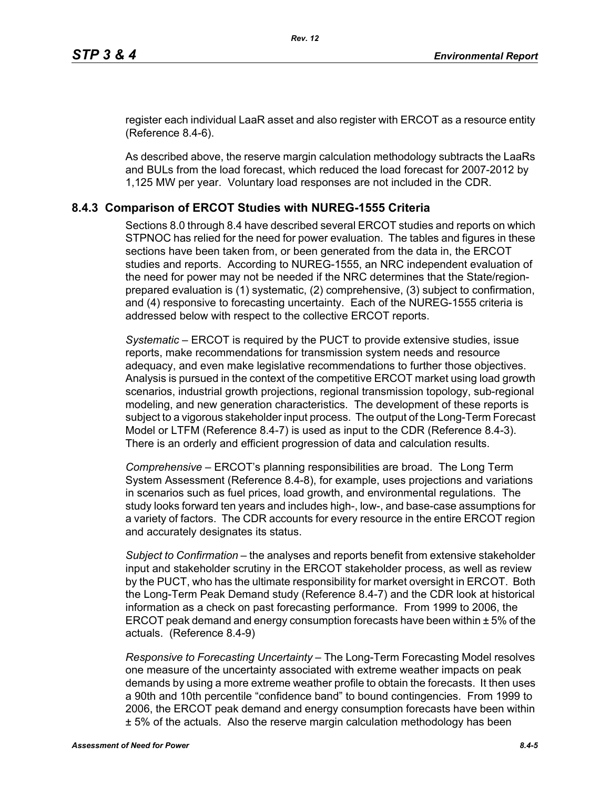[register each individual LaaR asset and also register with ERCOT as a resource entity](http://www.ercot.com/services/rq/re/index.html)  (Reference 8.4-6).

As described above, the reserve margin calculation methodology subtracts the LaaRs and BULs from the load forecast, which reduced the load forecast for 2007-2012 by 1,125 MW per year. Voluntary load responses are not included in the CDR.

#### **8.4.3 Comparison of ERCOT Studies with NUREG-1555 Criteria**

Sections 8.0 through 8.4 have described several ERCOT studies and reports on which STPNOC has relied for the need for power evaluation. The tables and figures in these sections have been taken from, or been generated from the data in, the ERCOT studies and reports. According to NUREG-1555, an NRC independent evaluation of the need for power may not be needed if the NRC determines that the State/regionprepared evaluation is (1) systematic, (2) comprehensive, (3) subject to confirmation, and (4) responsive to forecasting uncertainty. Each of the NUREG-1555 criteria is addressed below with respect to the collective ERCOT reports.

*Systematic* – ERCOT is required by the PUCT to provide extensive studies, issue reports, make recommendations for transmission system needs and resource adequacy, and even make legislative recommendations to further those objectives. Analysis is pursued in the context of the competitive ERCOT market using load growth scenarios, industrial growth projections, regional transmission topology, sub-regional modeling, and new generation characteristics. The development of these reports is subject to a vigorous stakeholder input process. The output of the Long-Term Forecast Model or LTFM (Reference 8.4-7) is used as input to the CDR (Reference 8.4-3). There is an orderly and efficient progression of data and calculation results.

*Comprehensive* – ERCOT's planning responsibilities are broad. The Long Term System Assessment (Reference 8.4-8), for example, uses projections and variations in scenarios such as fuel prices, load growth, and environmental regulations. The study looks forward ten years and includes high-, low-, and base-case assumptions for a variety of factors. The CDR accounts for every resource in the entire ERCOT region and accurately designates its status.

*Subject to Confirmation* – the analyses and reports benefit from extensive stakeholder input and stakeholder scrutiny in the ERCOT stakeholder process, as well as review by the PUCT, who has the ultimate responsibility for market oversight in ERCOT. Both the Long-Term Peak Demand study (Reference 8.4-7) and the CDR look at historical information as a check on past forecasting performance. From 1999 to 2006, the ERCOT peak demand and energy consumption forecasts have been within ± 5% of the actuals. (Reference 8.4-9)

*Responsive to Forecasting Uncertainty* – The Long-Term Forecasting Model resolves one measure of the uncertainty associated with extreme weather impacts on peak demands by using a more extreme weather profile to obtain the forecasts. It then uses a 90th and 10th percentile "confidence band" to bound contingencies. From 1999 to 2006, the ERCOT peak demand and energy consumption forecasts have been within ± 5% of the actuals. Also the reserve margin calculation methodology has been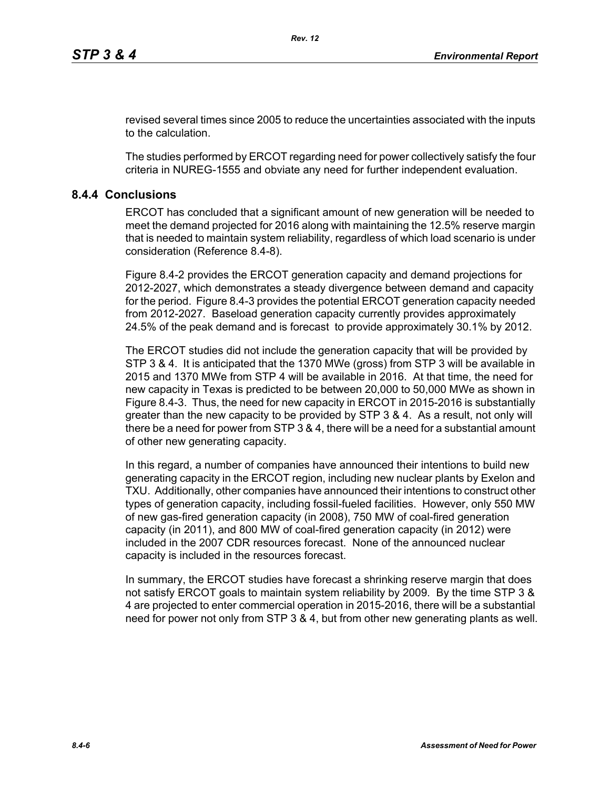revised several times since 2005 to reduce the uncertainties associated with the inputs to the calculation.

The studies performed by ERCOT regarding need for power collectively satisfy the four criteria in NUREG-1555 and obviate any need for further independent evaluation.

### **8.4.4 Conclusions**

ERCOT has concluded that a significant amount of new generation will be needed to meet the demand projected for 2016 along with maintaining the 12.5% reserve margin that is needed to maintain system reliability, regardless of which load scenario is under consideration (Reference 8.4-8).

Figure 8.4-2 provides the ERCOT generation capacity and demand projections for 2012-2027, which demonstrates a steady divergence between demand and capacity for the period. Figure 8.4-3 provides the potential ERCOT generation capacity needed from 2012-2027. Baseload generation capacity currently provides approximately 24.5% of the peak demand and is forecast to provide approximately 30.1% by 2012.

The ERCOT studies did not include the generation capacity that will be provided by STP 3 & 4. It is anticipated that the 1370 MWe (gross) from STP 3 will be available in 2015 and 1370 MWe from STP 4 will be available in 2016. At that time, the need for new capacity in Texas is predicted to be between 20,000 to 50,000 MWe as shown in Figure 8.4-3. Thus, the need for new capacity in ERCOT in 2015-2016 is substantially greater than the new capacity to be provided by STP 3 & 4. As a result, not only will there be a need for power from STP 3 & 4, there will be a need for a substantial amount of other new generating capacity.

In this regard, a number of companies have announced their intentions to build new generating capacity in the ERCOT region, including new nuclear plants by Exelon and TXU. Additionally, other companies have announced their intentions to construct other types of generation capacity, including fossil-fueled facilities. However, only 550 MW of new gas-fired generation capacity (in 2008), 750 MW of coal-fired generation capacity (in 2011), and 800 MW of coal-fired generation capacity (in 2012) were included in the 2007 CDR resources forecast. None of the announced nuclear capacity is included in the resources forecast.

In summary, the ERCOT studies have forecast a shrinking reserve margin that does not satisfy ERCOT goals to maintain system reliability by 2009. By the time STP 3 & 4 are projected to enter commercial operation in 2015-2016, there will be a substantial need for power not only from STP 3 & 4, but from other new generating plants as well.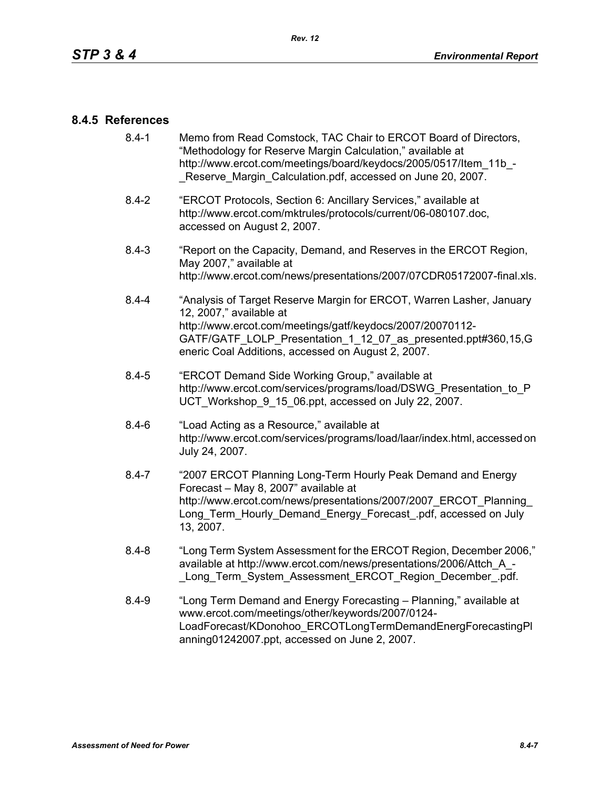#### **8.4.5 References**

- [8.4-1 Memo from Read Comstock, TAC Chair to ERCOT Board of Directors,](http://www.ercot.com/meetings/board/keydocs/2005/0517/Item_11b_-_Reserve_Margin_Calculation.pdf)  "Methodology for Reserve Margin Calculation," available at http://www.ercot.com/meetings/board/keydocs/2005/0517/Item\_11b\_-Reserve Margin Calculation.pdf, accessed on June 20, 2007.
- [8.4-2 "ERCOT Protocols, Section 6: Ancillary Services," available at](http://www.ercot.com/mktrules/protocols/current/06-080107.doc)  http://www.ercot.com/mktrules/protocols/current/06-080107.doc, accessed on August 2, 2007.
- 8.4-3 "Report on the Capacity, Demand, and Reserves in the ERCOT Region, May 2007," available at http://www.ercot.com/news/presentations/2007/07CDR05172007-final.xls.
- 8.4-4 "Analysis of Target Reserve Margin for ERCOT, Warren Lasher, January 12, 2007," available at http://www.ercot.com/meetings/gatf/keydocs/2007/20070112- GATF/GATF\_LOLP\_Presentation\_1\_12\_07\_as\_presented.ppt#360,15,G eneric Coal Additions, accessed on August 2, 2007.
- 8.4-5 "ERCOT Demand Side Working Group," available at [http://www.ercot.com/services/programs/load/DSWG\\_Presentation\\_to\\_P](http://www.ercot.com/services/programs/load/DSWG_Presentation_to_PUCT_Workshop_9_15_06.ppt) UCT\_Workshop\_9\_15\_06.ppt, accessed on July 22, 2007.
- 8.4-6 "Load Acting as a Resource," available at [http://www.ercot.com/services/programs/load/laar/index.html, accessed on](http://www.ercot.com/services/programs/load/laar/index.html)  July 24, 2007.
- [8.4-7 "2007 ERCOT Planning Long-Term Hourly Peak Demand and Energy](http://www.ercot.com/news/presentations/2007/2007_ERCOT_Planning_Long_Term_Hourly_Demand_Energy_Forecast_.pdf)  Forecast – May 8, 2007" available at http://www.ercot.com/news/presentations/2007/2007\_ERCOT\_Planning Long Term Hourly Demand Energy Forecast .pdf, accessed on July 13, 2007.
- 8.4-8 "Long Term System Assessment for the ERCOT Region, December 2006," available at http://www.ercot.com/news/presentations/2006/Attch\_A\_- Long Term System Assessment ERCOT Region December .pdf.
- 8.4-9 ["Long Term Demand and Energy Forecasting Planning," available at](http://www.ercot.com/meetings/other/keywords/2007/0124-LoadForecast/KDonohoo_ERCOTLongTermDemandEnergForecastingPlanning01242007.ppt)  www.ercot.com/meetings/other/keywords/2007/0124- [LoadForecast/KDonohoo\\_ERCOTLongTermDemandEnergForecastingPl](http://www.ercot.com/meetings/other/keywords/2007/0124-LoadForecast/KDonohoo_ERCOTLongTermDemandEnergForecastingPlanning01242007.ppt) [anning01242007.ppt, accessed on June 2, 2007.](http://www.ercot.com/meetings/other/keywords/2007/0124-LoadForecast/KDonohoo_ERCOTLongTermDemandEnergForecastingPlanning01242007.ppt)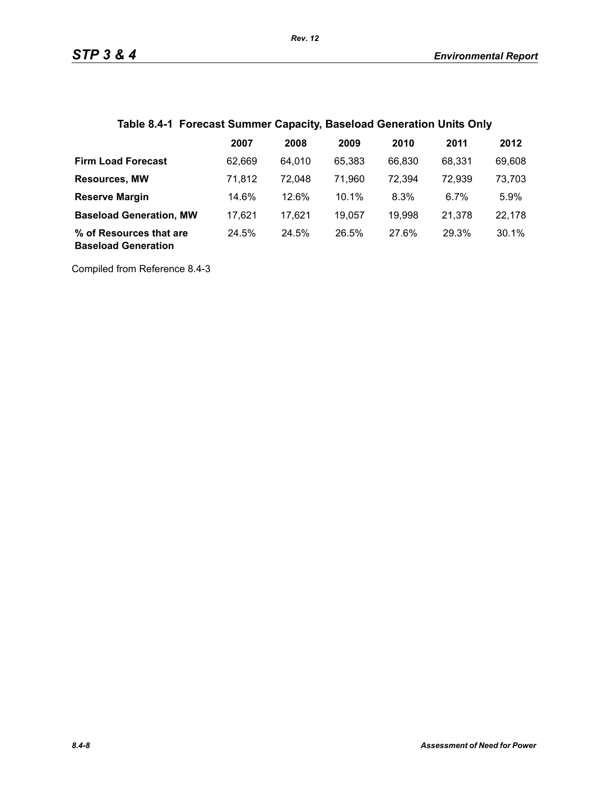|  |  | Table 8.4-1 Forecast Summer Capacity, Baseload Generation Units Only |  |
|--|--|----------------------------------------------------------------------|--|
|  |  |                                                                      |  |

|                                                       | 2007   | 2008   | 2009   | 2010   | 2011   | 2012   |
|-------------------------------------------------------|--------|--------|--------|--------|--------|--------|
| <b>Firm Load Forecast</b>                             | 62.669 | 64.010 | 65.383 | 66,830 | 68.331 | 69,608 |
| <b>Resources, MW</b>                                  | 71.812 | 72.048 | 71,960 | 72,394 | 72,939 | 73,703 |
| <b>Reserve Margin</b>                                 | 14.6%  | 12.6%  | 10.1%  | 8.3%   | 6.7%   | 5.9%   |
| <b>Baseload Generation, MW</b>                        | 17.621 | 17.621 | 19.057 | 19,998 | 21.378 | 22,178 |
| % of Resources that are<br><b>Baseload Generation</b> | 24.5%  | 24.5%  | 26.5%  | 27.6%  | 29.3%  | 30.1%  |

Compiled from Reference 8.4-3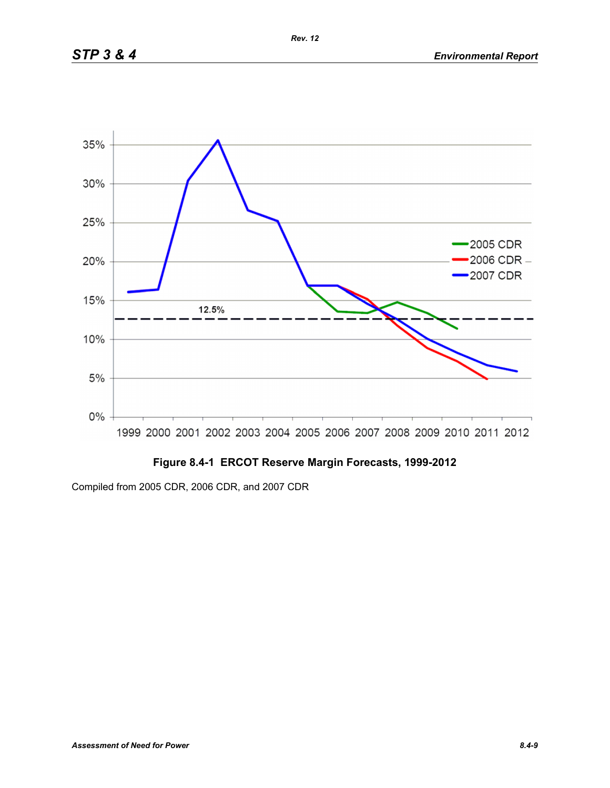

# **Figure 8.4-1 ERCOT Reserve Margin Forecasts, 1999-2012**

Compiled from 2005 CDR, 2006 CDR, and 2007 CDR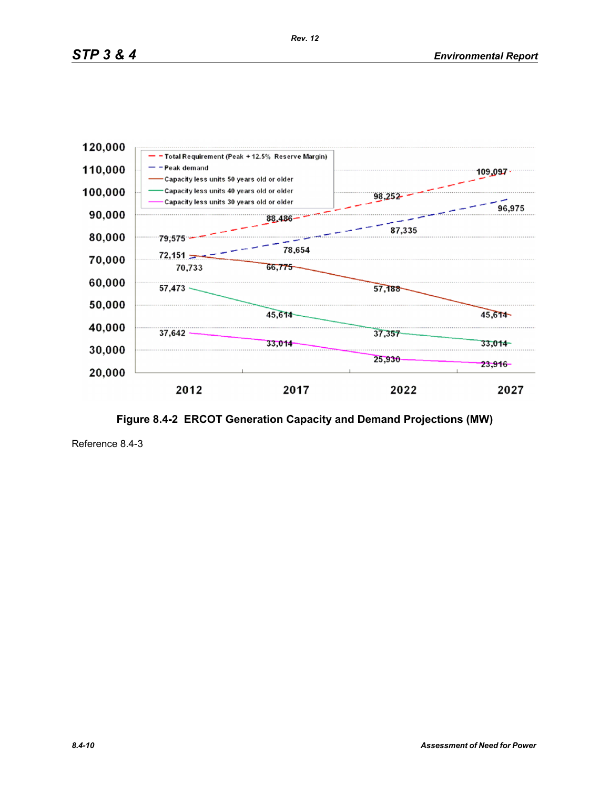**Figure 8.4-2 ERCOT Generation Capacity and Demand Projections (MW)**

2017

 $33,014$ 

37,357

25,930

2022

109.097

45,614

 $33,014 -$ 

 $23,916$ 

2027

96,975



Reference 8.4-3

30,000

20,000

37,642

2012